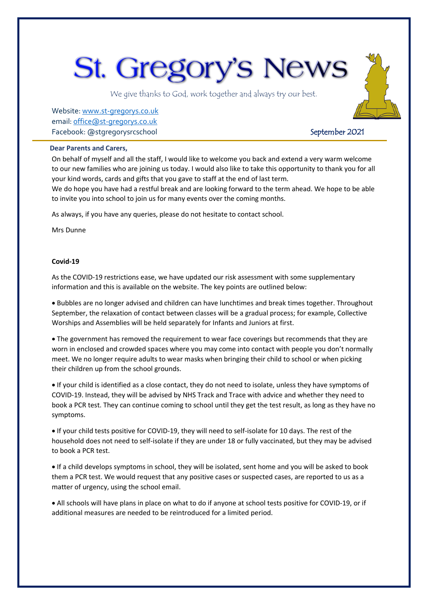# **St. Gregory's News**

We give thanks to God, work together and always try our best.

Website[: www.st-gregorys.co.uk](http://www.st-gregorys.co.uk/) email[: office@st-gregorys.co.uk](mailto:office@st-gregorys.co.uk) Facebook: @stgregorysrcschool September 2021

#### **Dear Parents and Carers,**

On behalf of myself and all the staff, I would like to welcome you back and extend a very warm welcome to our new families who are joining us today. I would also like to take this opportunity to thank you for all your kind words, cards and gifts that you gave to staff at the end of last term.

We do hope you have had a restful break and are looking forward to the term ahead. We hope to be able to invite you into school to join us for many events over the coming months.

As always, if you have any queries, please do not hesitate to contact school.

Mrs Dunne

#### **Covid-19**

As the COVID-19 restrictions ease, we have updated our risk assessment with some supplementary information and this is available on the website. The key points are outlined below:

 Bubbles are no longer advised and children can have lunchtimes and break times together. Throughout September, the relaxation of contact between classes will be a gradual process; for example, Collective Worships and Assemblies will be held separately for Infants and Juniors at first.

 The government has removed the requirement to wear face coverings but recommends that they are worn in enclosed and crowded spaces where you may come into contact with people you don't normally meet. We no longer require adults to wear masks when bringing their child to school or when picking their children up from the school grounds.

 If your child is identified as a close contact, they do not need to isolate, unless they have symptoms of COVID-19. Instead, they will be advised by NHS Track and Trace with advice and whether they need to book a PCR test. They can continue coming to school until they get the test result, as long as they have no symptoms.

 If your child tests positive for COVID-19, they will need to self-isolate for 10 days. The rest of the household does not need to self-isolate if they are under 18 or fully vaccinated, but they may be advised to book a PCR test.

 If a child develops symptoms in school, they will be isolated, sent home and you will be asked to book them a PCR test. We would request that any positive cases or suspected cases, are reported to us as a matter of urgency, using the school email.

 All schools will have plans in place on what to do if anyone at school tests positive for COVID-19, or if additional measures are needed to be reintroduced for a limited period.